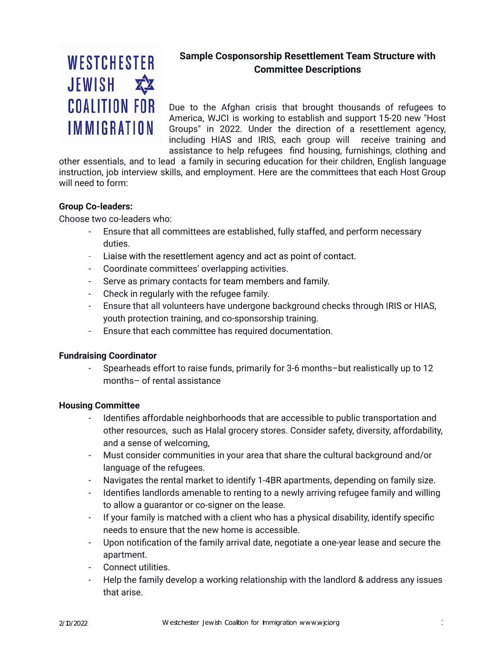# WESTCHESTER JEWISH <> **COALITION FOR IMMIGRATION**

## **Sample Cosponsorship Resettlement Team Structure with Committee Descriptions**

 Due to the Afghan crisis that brought thousands of refugees to America, WJCI is working to establish and support 15-20 new "Host Groups" in 2022. Under the direction of a resettlement agency, including HIAS and IRIS, each group will receive training and assistance to help refugees find housing, furnishings, clothing and

 other essentials, and to lead a family in securing education for their children, English language instruction, job interview skills, and employment. Here are the committees that each Host Group will need to form:

#### **Group Co-leaders:**

Choose two co-leaders who:

- Ensure that all committees are established, fully staffed, and perform necessary duties.
- Liaise with the resettlement agency and act as point of contact.
- Coordinate committees' overlapping activities.
- Serve as primary contacts for team members and family.
- Check in regularly with the refugee family.
- Ensure that all volunteers have undergone background checks through IRIS or HIAS, youth protection training, and co-sponsorship training.
- Ensure that each committee has required documentation.

## **Fundraising Coordinator**

 - Spearheads effort to raise funds, primarily for 3-6 months–but realistically up to 12 months– of rental assistance

#### **Housing Committee**

- Identifies affordable neighborhoods that are accessible to public transportation and other resources, such as Halal grocery stores. Consider safety, diversity, affordability, and a sense of welcoming,
- Must consider communities in your area that share the cultural background and/or language of the refugees.
- Navigates the rental market to identify 1-4BR apartments, depending on family size.
- Identifies landlords amenable to renting to a newly arriving refugee family and willing to allow a guarantor or co-signer on the lease.
- If your family is matched with a client who has a physical disability, identify specific needs to ensure that the new home is accessible.
- Upon notification of the family arrival date, negotiate a one-year lease and secure the apartment.
- Connect utilities.
- Help the family develop a working relationship with the landlord & address any issues that arise.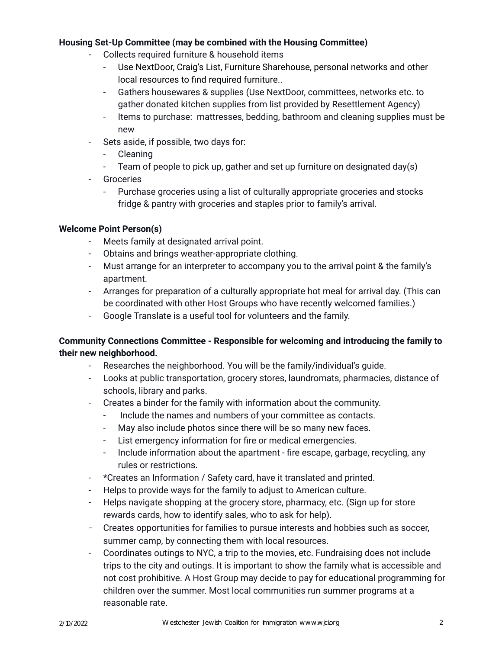#### **Housing Set-Up Committee (may be combined with the Housing Committee)**

- Collects required furniture & household items
	- Use NextDoor, Craig's List, Furniture Sharehouse, personal networks and other local resources to find required furniture..
	- Gathers housewares & supplies (Use NextDoor, committees, networks etc. to gather donated kitchen supplies from list provided by Resettlement Agency)
	- Items to purchase: mattresses, bedding, bathroom and cleaning supplies must be new
- Sets aside, if possible, two days for:
	- Cleaning
	- Team of people to pick up, gather and set up furniture on designated day(s)
- Groceries
	- Purchase groceries using a list of culturally appropriate groceries and stocks fridge & pantry with groceries and staples prior to family's arrival.

## **Welcome Point Person(s)**

- Meets family at designated arrival point.
- Obtains and brings weather-appropriate clothing.
- Must arrange for an interpreter to accompany you to the arrival point & the family's apartment.
- Arranges for preparation of a culturally appropriate hot meal for arrival day. (This can be coordinated with other Host Groups who have recently welcomed families.)
- Google Translate is a useful tool for volunteers and the family.

## **Community Connections Committee - Responsible for welcoming and introducing the family to their new neighborhood.**

- Researches the neighborhood. You will be the family/individual's guide.
- Looks at public transportation, grocery stores, laundromats, pharmacies, distance of schools, library and parks.
- Creates a binder for the family with information about the community.
	- Include the names and numbers of your committee as contacts.
	- May also include photos since there will be so many new faces.
	- List emergency information for fire or medical emergencies.
	- Include information about the apartment fire escape, garbage, recycling, any rules or restrictions.
- \*Creates an Information / Safety card, have it translated and printed.
- Helps to provide ways for the family to adjust to American culture.
- Helps navigate shopping at the grocery store, pharmacy, etc. (Sign up for store rewards cards, how to identify sales, who to ask for help).
- Creates opportunities for families to pursue interests and hobbies such as soccer, summer camp, by connecting them with local resources.
- Coordinates outings to NYC, a trip to the movies, etc. Fundraising does not include trips to the city and outings. It is important to show the family what is accessible and not cost prohibitive. A Host Group may decide to pay for educational programming for children over the summer. Most local communities run summer programs at a reasonable rate.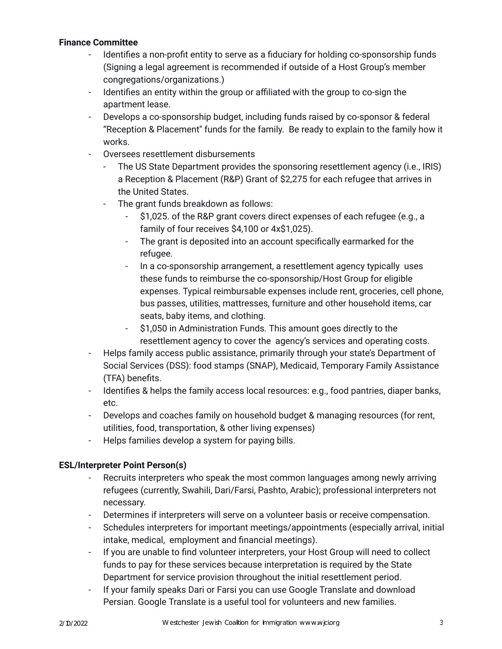#### **Finance Committee**

- Identifies a non-profit entity to serve as a fiduciary for holding co-sponsorship funds (Signing a legal agreement is recommended if outside of a Host Group's member congregations/organizations.)
- Identifies an entity within the group or affiliated with the group to co-sign the apartment lease.
- Develops a co-sponsorship budget, including funds raised by co-sponsor & federal "Reception & Placement'' funds for the family. Be ready to explain to the family how it works.
- Oversees resettlement disbursements
	- The US State Department provides the sponsoring resettlement agency (i.e., IRIS) a Reception & Placement (R&P) Grant of \$2,275 for each refugee that arrives in the United States.
	- The grant funds breakdown as follows:
		- \$1,025. of the R&P grant covers direct expenses of each refugee (e.g., a family of four receives \$4,100 or 4x\$1,025).
		- The grant is deposited into an account specifically earmarked for the refugee.
		- In a co-sponsorship arrangement, a resettlement agency typically uses these funds to reimburse the co-sponsorship/Host Group for eligible expenses. Typical reimbursable expenses include rent, groceries, cell phone, bus passes, utilities, mattresses, furniture and other household items, car seats, baby items, and clothing.
		- \$1,050 in Administration Funds. This amount goes directly to the resettlement agency to cover the agency's services and operating costs.
- Helps family access public assistance, primarily through your state's Department of Social Services (DSS): food stamps (SNAP), Medicaid, Temporary Family Assistance (TFA) benefits.
- Identifies & helps the family access local resources: e.g., food pantries, diaper banks, etc.
- Develops and coaches family on household budget & managing resources (for rent, utilities, food, transportation, & other living expenses)
- Helps families develop a system for paying bills.

## **ESL/Interpreter Point Person(s)**

- Recruits interpreters who speak the most common languages among newly arriving refugees (currently, Swahili, Dari/Farsi, Pashto, Arabic); professional interpreters not necessary.
- Determines if interpreters will serve on a volunteer basis or receive compensation.
- Schedules interpreters for important meetings/appointments (especially arrival, initial intake, medical, employment and financial meetings).
- If you are unable to find volunteer interpreters, your Host Group will need to collect funds to pay for these services because interpretation is required by the State Department for service provision throughout the initial resettlement period.
- If your family speaks Dari or Farsi you can use Google Translate and download Persian. Google Translate is a useful tool for volunteers and new families.